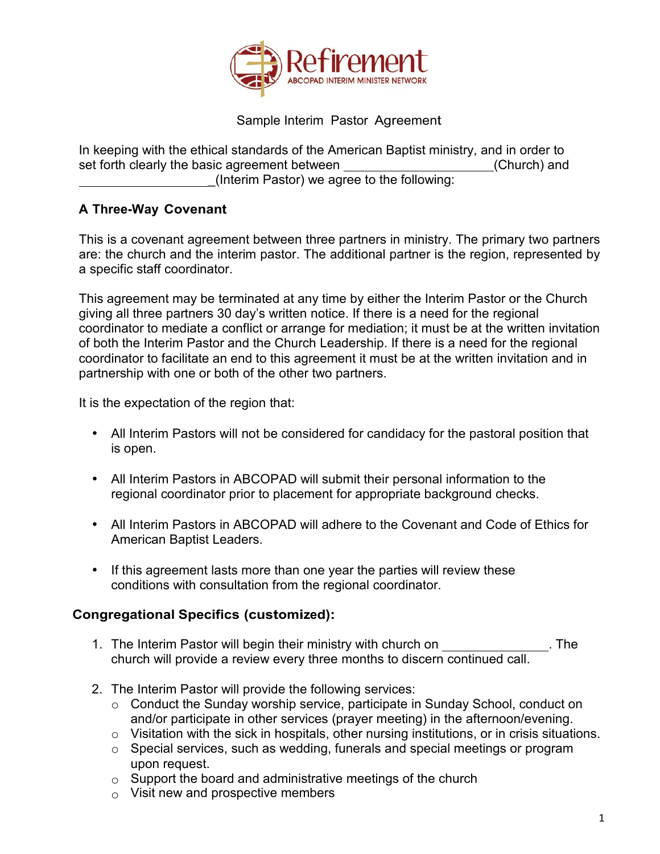

Sample Interim Pastor Agreement

In keeping with the ethical standards of the American Baptist ministry, and in order to set forth clearly the basic agreement between (Church) and \_(Interim Pastor) we agree to the following:

## **A Three-Way Covenant**

This is a covenant agreement between three partners in ministry. The primary two partners are: the church and the interim pastor. The additional partner is the region, represented by a specific staff coordinator.

This agreement may be terminated at any time by either the Interim Pastor or the Church giving all three partners 30 day's written notice. If there is a need for the regional coordinator to mediate a conflict or arrange for mediation; it must be at the written invitation of both the Interim Pastor and the Church Leadership. If there is a need for the regional coordinator to facilitate an end to this agreement it must be at the written invitation and in partnership with one or both of the other two partners.

It is the expectation of the region that:

- All Interim Pastors will not be considered for candidacy for the pastoral position that is open.
- All Interim Pastors in ABCOPAD will submit their personal information to the regional coordinator prior to placement for appropriate background checks.
- All Interim Pastors in ABCOPAD will adhere to the Covenant and Code of Ethics for American Baptist Leaders.
- If this agreement lasts more than one year the parties will review these conditions with consultation from the regional coordinator.

## **Congregational Specifics (customized):**

- 1. The Interim Pastor will begin their ministry with church on . The church will provide a review every three months to discern continued call.
- 2. The Interim Pastor will provide the following services:
	- o Conduct the Sunday worship service, participate in Sunday School, conduct on and/or participate in other services (prayer meeting) in the afternoon/evening.
	- o Visitation with the sick in hospitals, other nursing institutions, or in crisis situations.
	- o Special services, such as wedding, funerals and special meetings or program upon request.
	- $\circ$  Support the board and administrative meetings of the church
	- $\circ$  Visit new and prospective members